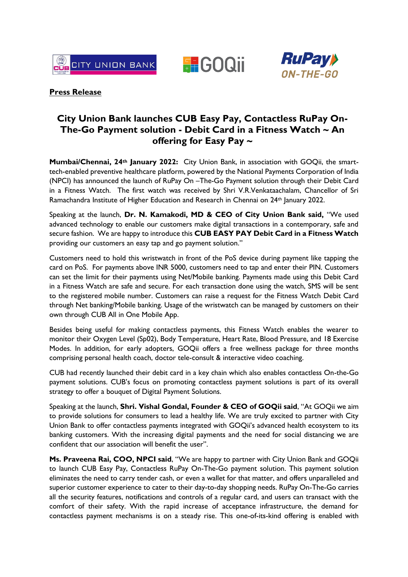





## **Press Release**

# **City Union Bank launches CUB Easy Pay, Contactless RuPay On-The-Go Payment solution - Debit Card in a Fitness Watch ~ An offering for Easy Pay ~**

**Mumbai/Chennai, 24th January 2022:** City Union Bank, in association with GOQii, the smarttech-enabled preventive healthcare platform, powered by the National Payments Corporation of India (NPCI) has announced the launch of RuPay On –The-Go Payment solution through their Debit Card in a Fitness Watch. The first watch was received by Shri V.R.Venkataachalam, Chancellor of Sri Ramachandra Institute of Higher Education and Research in Chennai on 24<sup>th</sup> January 2022.

Speaking at the launch, **Dr. N. Kamakodi, MD & CEO of City Union Bank said,** "We used advanced technology to enable our customers make digital transactions in a contemporary, safe and secure fashion. We are happy to introduce this **CUB EASY PAY Debit Card in a Fitness Watch**  providing our customers an easy tap and go payment solution."

Customers need to hold this wristwatch in front of the PoS device during payment like tapping the card on PoS. For payments above INR 5000, customers need to tap and enter their PIN. Customers can set the limit for their payments using Net/Mobile banking. Payments made using this Debit Card in a Fitness Watch are safe and secure. For each transaction done using the watch, SMS will be sent to the registered mobile number. Customers can raise a request for the Fitness Watch Debit Card through Net banking/Mobile banking. Usage of the wristwatch can be managed by customers on their own through CUB All in One Mobile App.

Besides being useful for making contactless payments, this Fitness Watch enables the wearer to monitor their Oxygen Level (Sp02), Body Temperature, Heart Rate, Blood Pressure, and 18 Exercise Modes. In addition, for early adopters, GOQii offers a free wellness package for three months comprising personal health coach, doctor tele-consult & interactive video coaching.

CUB had recently launched their debit card in a key chain which also enables contactless On-the-Go payment solutions. CUB's focus on promoting contactless payment solutions is part of its overall strategy to offer a bouquet of Digital Payment Solutions.

Speaking at the launch, **Shri. Vishal Gondal, Founder & CEO of GOQii said**, "At GOQii we aim to provide solutions for consumers to lead a healthy life. We are truly excited to partner with City Union Bank to offer contactless payments integrated with GOQii's advanced health ecosystem to its banking customers. With the increasing digital payments and the need for social distancing we are confident that our association will benefit the user".

**Ms. Praveena Rai, COO, NPCI said**, "We are happy to partner with City Union Bank and GOQii to launch CUB Easy Pay, Contactless RuPay On-The-Go payment solution. This payment solution eliminates the need to carry tender cash, or even a wallet for that matter, and offers unparalleled and superior customer experience to cater to their day-to-day shopping needs. RuPay On-The-Go carries all the security features, notifications and controls of a regular card, and users can transact with the comfort of their safety. With the rapid increase of acceptance infrastructure, the demand for contactless payment mechanisms is on a steady rise. This one-of-its-kind offering is enabled with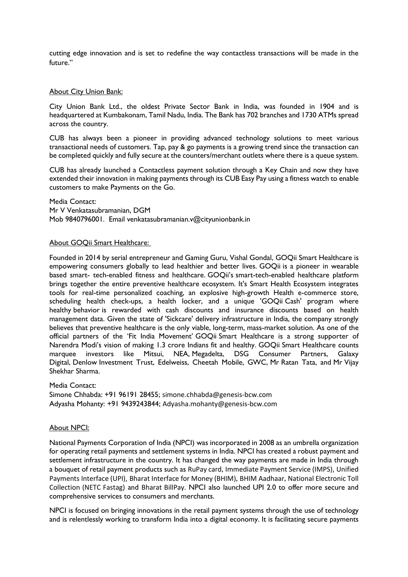cutting edge innovation and is set to redefine the way contactless transactions will be made in the future."

### About City Union Bank:

City Union Bank Ltd., the oldest Private Sector Bank in India, was founded in 1904 and is headquartered at Kumbakonam, Tamil Nadu, India. The Bank has 702 branches and 1730 ATMs spread across the country.

CUB has always been a pioneer in providing advanced technology solutions to meet various transactional needs of customers. Tap, pay & go payments is a growing trend since the transaction can be completed quickly and fully secure at the counters/merchant outlets where there is a queue system.

CUB has already launched a Contactless payment solution through a Key Chain and now they have extended their innovation in making payments through its CUB Easy Pay using a fitness watch to enable customers to make Payments on the Go.

Media Contact: Mr V Venkatasubramanian, DGM Mob 9840796001. Email venkatasubramanian.v@cityunionbank.in

#### About GOQii Smart Healthcare:

Founded in 2014 by serial entrepreneur and Gaming Guru, Vishal Gondal, GOQii Smart Healthcare is empowering consumers globally to lead healthier and better lives. GOQii is a pioneer in wearable based smart- tech-enabled fitness and healthcare. GOQii's smart-tech-enabled healthcare platform brings together the entire preventive healthcare ecosystem. It's Smart Health Ecosystem integrates tools for real-time personalized coaching, an explosive high-growth Health e-commerce store, scheduling health check-ups, a health locker, and a unique 'GOQii Cash' program where healthy behavior is rewarded with cash discounts and insurance discounts based on health management data. Given the state of 'Sickcare' delivery infrastructure in India, the company strongly believes that preventive healthcare is the only viable, long-term, mass-market solution. As one of the official partners of the 'Fit India Movement' GOQii Smart Healthcare is a strong supporter of Narendra Modi's vision of making 1.3 crore Indians fit and healthy. GOQii Smart Healthcare counts marquee investors like Mitsui, NEA, Megadelta, DSG Consumer Partners, Galaxy Digital, Denlow Investment Trust, Edelweiss, Cheetah Mobile, GWC, Mr Ratan Tata, and Mr Vijay Shekhar Sharma.

Media Contact: Simone Chhabda: +91 96191 28455; [simone.chhabda@genesis-bcw.com](mailto:simone.chhabda@genesis-bcw.com) Adyasha Mohanty: +91 9439243844; [Adyasha.mohanty@genesis-bcw.com](mailto:Adyasha.mohanty@genesis-bcw.com)

#### About NPCI:

National Payments Corporation of India (NPCI) was incorporated in 2008 as an umbrella organization for operating retail payments and settlement systems in India. NPCI has created a robust payment and settlement infrastructure in the country. It has changed the way payments are made in India through a bouquet of retail payment products such as [RuPay card](https://www.npci.org.in/product-overview/rupay-product-overview), [Immediate Payment Service \(IMPS\),](https://www.npci.org.in/product-overview/imps-product-overview) [Unified](https://www.npci.org.in/product-overview/upi-product-overview)  [Payments Interface \(UPI\),](https://www.npci.org.in/product-overview/upi-product-overview) [Bharat Interface for Money \(BHIM\)](https://www.npci.org.in/product-overview/bhim-product-overview), [BHIM Aadhaar](https://www.npci.org.in/product-overview/bhim-aadhaar), [National Electronic Toll](https://www.npci.org.in/netc)  [Collection \(NETC Fastag\)](https://www.npci.org.in/netc) and [Bharat BillPay](https://www.npci.org.in/product-overview/bharat-billpay-product-overview). NPCI also launched UPI 2.0 to offer more secure and comprehensive services to consumers and merchants.

NPCI is focused on bringing innovations in the retail payment systems through the use of technology and is relentlessly working to transform India into a digital economy. It is facilitating secure payments